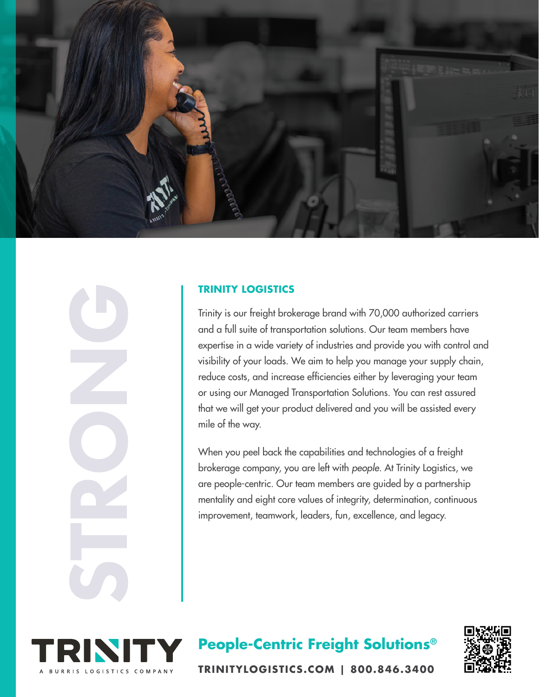

#### **TRINITY LOGISTICS**

Trinity is our freight brokerage brand with 70,000 authorized carriers and a full suite of transportation solutions. Our team members have expertise in a wide variety of industries and provide you with control and visibility of your loads. We aim to help you manage your supply chain, reduce costs, and increase efficiencies either by leveraging your team or using our Managed Transportation Solutions. You can rest assured that we will get your product delivered and you will be assisted every mile of the way.

When you peel back the capabilities and technologies of a freight brokerage company, you are left with *people*. At Trinity Logistics, we are people-centric. Our team members are guided by a partnership mentality and eight core values of integrity, determination, continuous improvement, teamwork, leaders, fun, excellence, and legacy.



**People-Centric Freight Solutions®**



**TRINITYLOGISTICS.COM | 800.846.3400**